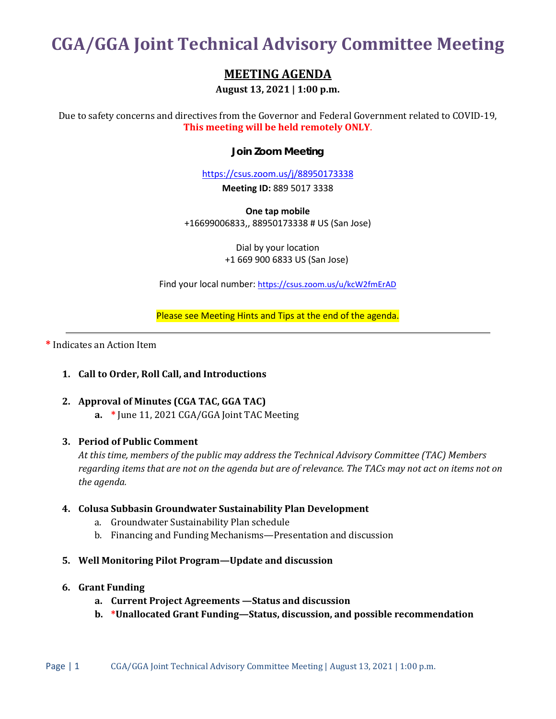# **CGA/GGA Joint Technical Advisory Committee Meeting**

# **MEETING AGENDA**

**August 13, 2021 | 1:00 p.m.**

Due to safety concerns and directives from the Governor and Federal Government related to COVID-19, **This meeting will be held remotely ONLY**.

## **Join Zoom Meeting**

<https://csus.zoom.us/j/88950173338>

**Meeting ID:** 889 5017 3338

**One tap mobile** +16699006833,, 88950173338 # US (San Jose)

> Dial by your location +1 669 900 6833 US (San Jose)

Find your local number:<https://csus.zoom.us/u/kcW2fmErAD>

Please see Meeting Hints and Tips at the end of the agenda.

**\*** Indicates an Action Item

### **1. Call to Order, Roll Call, and Introductions**

# **2. Approval of Minutes (CGA TAC, GGA TAC)**

**a. \*** June 11, 2021 CGA/GGA Joint TAC Meeting

### **3. Period of Public Comment**

*At this time, members of the public may address the Technical Advisory Committee (TAC) Members regarding items that are not on the agenda but are of relevance. The TACs may not act on items not on the agenda.*

### **4. Colusa Subbasin Groundwater Sustainability Plan Development**

- a. Groundwater Sustainability Plan schedule
- b. Financing and Funding Mechanisms—Presentation and discussion
- **5. Well Monitoring Pilot Program—Update and discussion**

### **6. Grant Funding**

- **a. Current Project Agreements —Status and discussion**
- **b. \*Unallocated Grant Funding—Status, discussion, and possible recommendation**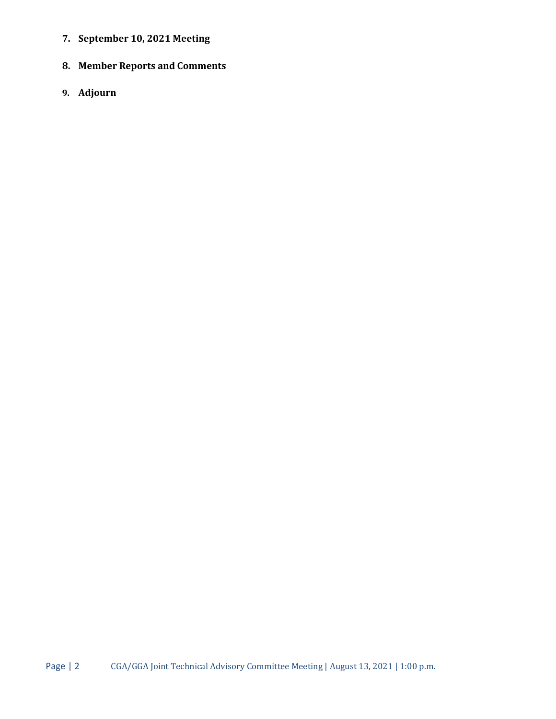- **7. September 10, 2021 Meeting**
- **8. Member Reports and Comments**
- **9. Adjourn**